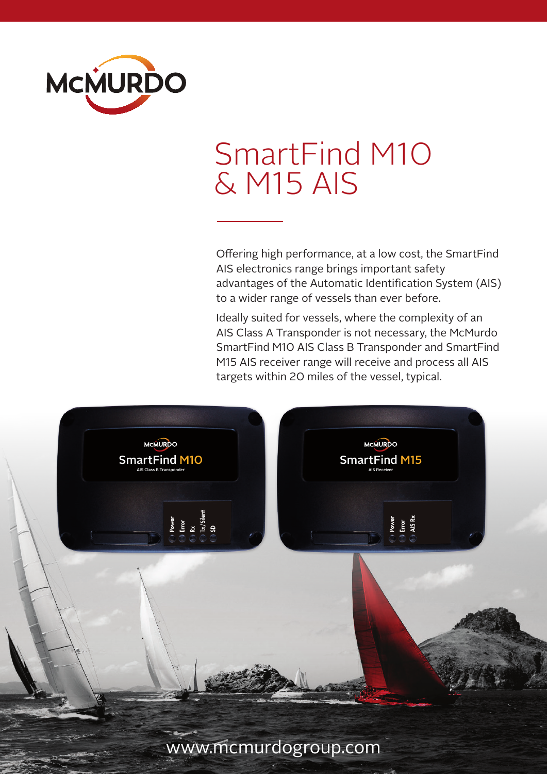

# SmartFind M10 & M15 AIS

Offering high performance, at a low cost, the SmartFind AIS electronics range brings important safety advantages of the Automatic Identification System (AIS) to a wider range of vessels than ever before.

Ideally suited for vessels, where the complexity of an AIS Class A Transponder is not necessary, the McMurdo SmartFind M10 AIS Class B Transponder and SmartFind M15 AIS receiver range will receive and process all AIS targets within 20 miles of the vessel, typical.